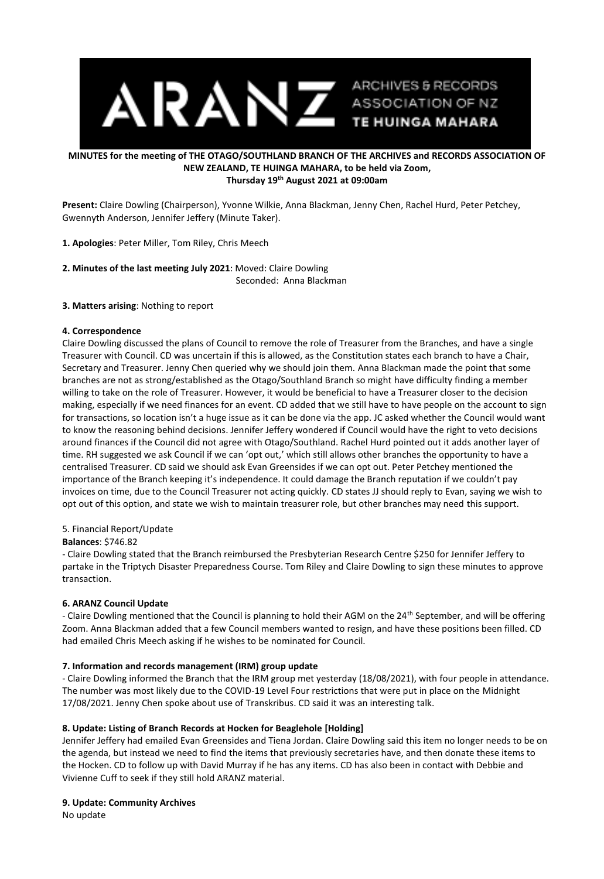

#### **MINUTES for the meeting of THE OTAGO/SOUTHLAND BRANCH OF THE ARCHIVES and RECORDS ASSOCIATION OF NEW ZEALAND, TE HUINGA MAHARA, to be held via Zoom, Thursday 19th August 2021 at 09:00am**

**Present:** Claire Dowling (Chairperson), Yvonne Wilkie, Anna Blackman, Jenny Chen, Rachel Hurd, Peter Petchey, Gwennyth Anderson, Jennifer Jeffery (Minute Taker).

**1. Apologies**: Peter Miller, Tom Riley, Chris Meech

**2. Minutes of the last meeting July 2021**: Moved: Claire Dowling Seconded: Anna Blackman

# **3. Matters arising**: Nothing to report

## **4. Correspondence**

Claire Dowling discussed the plans of Council to remove the role of Treasurer from the Branches, and have a single Treasurer with Council. CD was uncertain if this is allowed, as the Constitution states each branch to have a Chair, Secretary and Treasurer. Jenny Chen queried why we should join them. Anna Blackman made the point that some branches are not as strong/established as the Otago/Southland Branch so might have difficulty finding a member willing to take on the role of Treasurer. However, it would be beneficial to have a Treasurer closer to the decision making, especially if we need finances for an event. CD added that we still have to have people on the account to sign for transactions, so location isn't a huge issue as it can be done via the app. JC asked whether the Council would want to know the reasoning behind decisions. Jennifer Jeffery wondered if Council would have the right to veto decisions around finances if the Council did not agree with Otago/Southland. Rachel Hurd pointed out it adds another layer of time. RH suggested we ask Council if we can 'opt out,' which still allows other branches the opportunity to have a centralised Treasurer. CD said we should ask Evan Greensides if we can opt out. Peter Petchey mentioned the importance of the Branch keeping it's independence. It could damage the Branch reputation if we couldn't pay invoices on time, due to the Council Treasurer not acting quickly. CD states JJ should reply to Evan, saying we wish to opt out of this option, and state we wish to maintain treasurer role, but other branches may need this support.

## 5. Financial Report/Update

## **Balances**: \$746.82

- Claire Dowling stated that the Branch reimbursed the Presbyterian Research Centre \$250 for Jennifer Jeffery to partake in the Triptych Disaster Preparedness Course. Tom Riley and Claire Dowling to sign these minutes to approve transaction.

## **6. ARANZ Council Update**

- Claire Dowling mentioned that the Council is planning to hold their AGM on the 24<sup>th</sup> September, and will be offering Zoom. Anna Blackman added that a few Council members wanted to resign, and have these positions been filled. CD had emailed Chris Meech asking if he wishes to be nominated for Council.

## **7. Information and records management (IRM) group update**

- Claire Dowling informed the Branch that the IRM group met yesterday (18/08/2021), with four people in attendance. The number was most likely due to the COVID-19 Level Four restrictions that were put in place on the Midnight 17/08/2021. Jenny Chen spoke about use of Transkribus. CD said it was an interesting talk.

## **8. Update: Listing of Branch Records at Hocken for Beaglehole [Holding]**

Jennifer Jeffery had emailed Evan Greensides and Tiena Jordan. Claire Dowling said this item no longer needs to be on the agenda, but instead we need to find the items that previously secretaries have, and then donate these items to the Hocken. CD to follow up with David Murray if he has any items. CD has also been in contact with Debbie and Vivienne Cuff to seek if they still hold ARANZ material.

## **9. Update: Community Archives**

No update